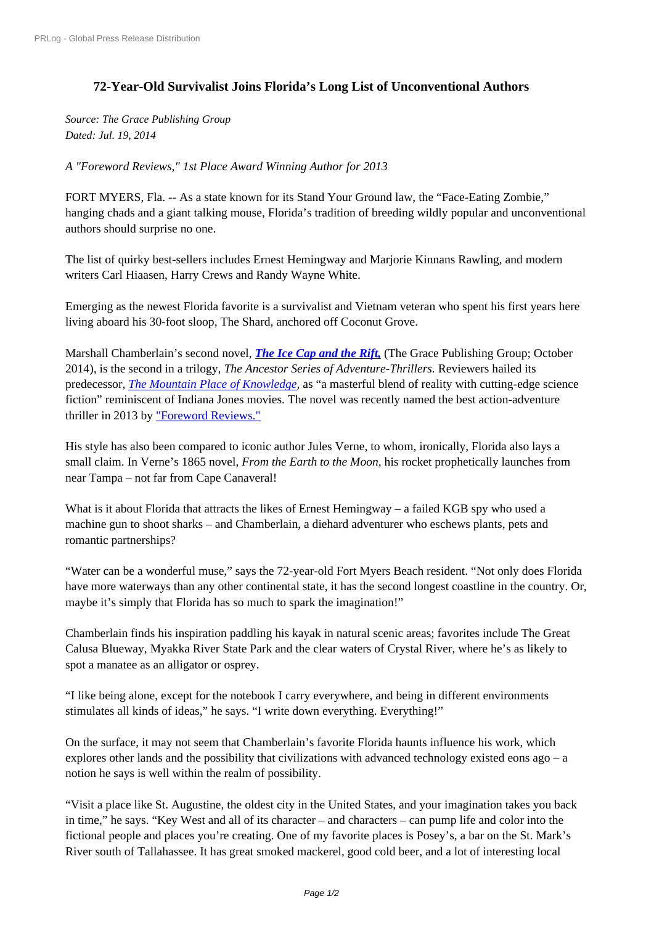## **[72-Year-Old Surviv](http://www.prlog.org/)alist Joins Florida's Long List of Unconventional Authors**

*Source: The Grace Publishing Group Dated: Jul. 19, 2014*

*A "Foreword Reviews," 1st Place Award Winning Author for 2013*

FORT MYERS, Fla. -- As a state known for its Stand Your Ground law, the "Face-Eating Zombie," hanging chads and a giant talking mouse, Florida's tradition of breeding wildly popular and unconventional authors should surprise no one.

The list of quirky best-sellers includes Ernest Hemingway and Marjorie Kinnans Rawling, and modern writers Carl Hiaasen, Harry Crews and Randy Wayne White.

Emerging as the newest Florida favorite is a survivalist and Vietnam veteran who spent his first years here living aboard his 30-foot sloop, The Shard, anchored off Coconut Grove.

Marshall Chamberlain's second novel, *The Ice Cap and the Rift,* (The Grace Publishing Group; October 2014)*,* is the second in a trilogy, *The Ancestor Series of Adventure-Thrillers.* Reviewers hailed its predecessor, *The Mountain Place of Knowledge,* as "a masterful blend of reality with cutting-edge science fiction" reminiscent of Indiana Jones [movies. The novel was rece](http://marshallchamberlain.com/books/the-ice-cap-and-the-rift/book-description/)ntly named the best action-adventure thriller in 2013 by "Foreword Reviews."

His style has [also been compared to iconic autho](http://marshallchamberlain.com/books/the-mountain-place-of-knowledge/book-description/)r Jules Verne, to whom, ironically, Florida also lays a small claim. In Verne's 1865 novel, *From the Earth to the Moon,* his rocket prophetically launches from near Tampa – not [far from Cape Canave](https://indiefab.forewordreviews.com/books/the-mountain-place-of-knowledge-2/)ral!

What is it about Florida that attracts the likes of Ernest Hemingway – a failed KGB spy who used a machine gun to shoot sharks – and Chamberlain, a diehard adventurer who eschews plants, pets and romantic partnerships?

"Water can be a wonderful muse," says the 72-year-old Fort Myers Beach resident. "Not only does Florida have more waterways than any other continental state, it has the second longest coastline in the country. Or, maybe it's simply that Florida has so much to spark the imagination!"

Chamberlain finds his inspiration paddling his kayak in natural scenic areas; favorites include The Great Calusa Blueway, Myakka River State Park and the clear waters of Crystal River, where he's as likely to spot a manatee as an alligator or osprey.

"I like being alone, except for the notebook I carry everywhere, and being in different environments stimulates all kinds of ideas," he says. "I write down everything. Everything!"

On the surface, it may not seem that Chamberlain's favorite Florida haunts influence his work, which explores other lands and the possibility that civilizations with advanced technology existed eons ago – a notion he says is well within the realm of possibility.

"Visit a place like St. Augustine, the oldest city in the United States, and your imagination takes you back in time," he says. "Key West and all of its character – and characters – can pump life and color into the fictional people and places you're creating. One of my favorite places is Posey's, a bar on the St. Mark's River south of Tallahassee. It has great smoked mackerel, good cold beer, and a lot of interesting local